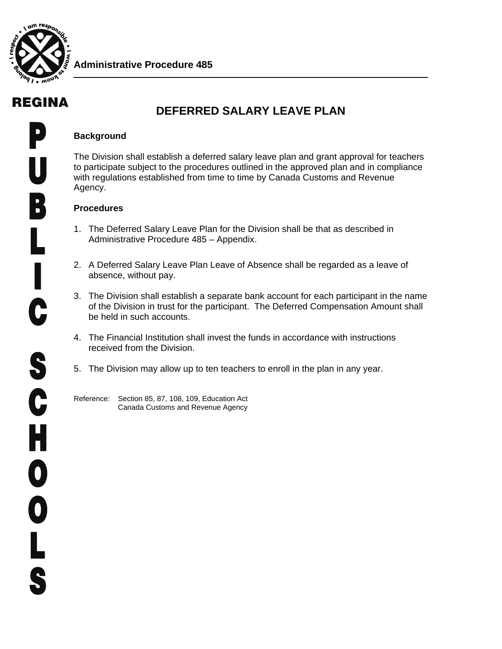

# REGINA

## **DEFERRED SALARY LEAVE PLAN**

#### **Background**

The Division shall establish a deferred salary leave plan and grant approval for teachers to participate subject to the procedures outlined in the approved plan and in compliance with regulations established from time to time by Canada Customs and Revenue Agency.

### **Procedures**

- 1. The Deferred Salary Leave Plan for the Division shall be that as described in Administrative Procedure 485 – Appendix.
- 2. A Deferred Salary Leave Plan Leave of Absence shall be regarded as a leave of absence, without pay.
- 3. The Division shall establish a separate bank account for each participant in the name of the Division in trust for the participant. The Deferred Compensation Amount shall be held in such accounts.
- 4. The Financial Institution shall invest the funds in accordance with instructions received from the Division.
- 5. The Division may allow up to ten teachers to enroll in the plan in any year.
- Reference: Section 85, 87, 108, 109, Education Act Canada Customs and Revenue Agency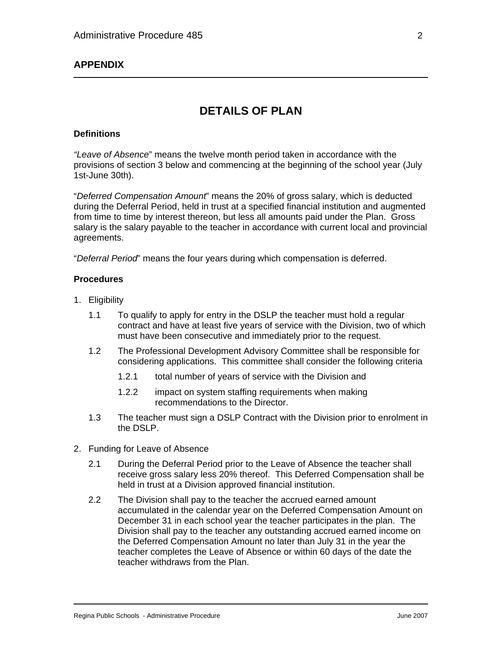### **APPENDIX**

## **DETAILS OF PLAN**

#### **Definitions**

*"Leave of Absence*" means the twelve month period taken in accordance with the provisions of section 3 below and commencing at the beginning of the school year (July 1st-June 30th).

"*Deferred Compensation Amount*" means the 20% of gross salary, which is deducted during the Deferral Period, held in trust at a specified financial institution and augmented from time to time by interest thereon, but less all amounts paid under the Plan. Gross salary is the salary payable to the teacher in accordance with current local and provincial agreements.

"*Deferral Period*" means the four years during which compensation is deferred.

#### **Procedures**

- 1. Eligibility
	- 1.1 To qualify to apply for entry in the DSLP the teacher must hold a regular contract and have at least five years of service with the Division, two of which must have been consecutive and immediately prior to the request.
	- 1.2 The Professional Development Advisory Committee shall be responsible for considering applications. This committee shall consider the following criteria
		- 1.2.1 total number of years of service with the Division and
		- 1.2.2 impact on system staffing requirements when making recommendations to the Director.
	- 1.3 The teacher must sign a DSLP Contract with the Division prior to enrolment in the DSLP.
- 2. Funding for Leave of Absence
	- 2.1 During the Deferral Period prior to the Leave of Absence the teacher shall receive gross salary less 20% thereof. This Deferred Compensation shall be held in trust at a Division approved financial institution.
	- 2.2 The Division shall pay to the teacher the accrued earned amount accumulated in the calendar year on the Deferred Compensation Amount on December 31 in each school year the teacher participates in the plan. The Division shall pay to the teacher any outstanding accrued earned income on the Deferred Compensation Amount no later than July 31 in the year the teacher completes the Leave of Absence or within 60 days of the date the teacher withdraws from the Plan.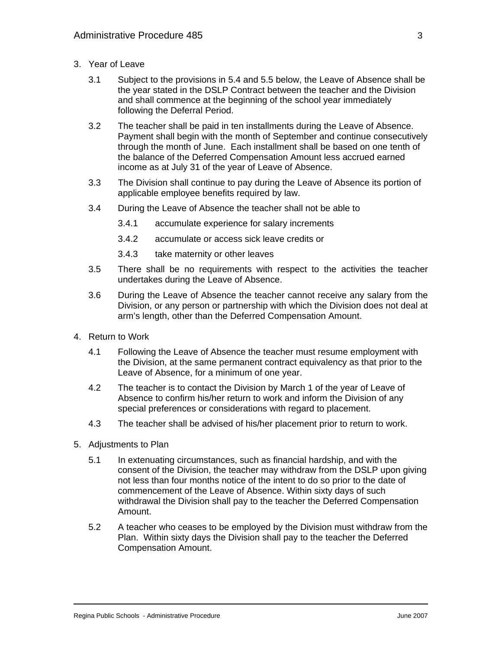- 3. Year of Leave
	- 3.1 Subject to the provisions in 5.4 and 5.5 below, the Leave of Absence shall be the year stated in the DSLP Contract between the teacher and the Division and shall commence at the beginning of the school year immediately following the Deferral Period.
	- 3.2 The teacher shall be paid in ten installments during the Leave of Absence. Payment shall begin with the month of September and continue consecutively through the month of June. Each installment shall be based on one tenth of the balance of the Deferred Compensation Amount less accrued earned income as at July 31 of the year of Leave of Absence.
	- 3.3 The Division shall continue to pay during the Leave of Absence its portion of applicable employee benefits required by law.
	- 3.4 During the Leave of Absence the teacher shall not be able to
		- 3.4.1 accumulate experience for salary increments
		- 3.4.2 accumulate or access sick leave credits or
		- 3.4.3 take maternity or other leaves
	- 3.5 There shall be no requirements with respect to the activities the teacher undertakes during the Leave of Absence.
	- 3.6 During the Leave of Absence the teacher cannot receive any salary from the Division, or any person or partnership with which the Division does not deal at arm's length, other than the Deferred Compensation Amount.
- 4. Return to Work
	- 4.1 Following the Leave of Absence the teacher must resume employment with the Division, at the same permanent contract equivalency as that prior to the Leave of Absence, for a minimum of one year.
	- 4.2 The teacher is to contact the Division by March 1 of the year of Leave of Absence to confirm his/her return to work and inform the Division of any special preferences or considerations with regard to placement.
	- 4.3 The teacher shall be advised of his/her placement prior to return to work.
- 5. Adjustments to Plan
	- 5.1 In extenuating circumstances, such as financial hardship, and with the consent of the Division, the teacher may withdraw from the DSLP upon giving not less than four months notice of the intent to do so prior to the date of commencement of the Leave of Absence. Within sixty days of such withdrawal the Division shall pay to the teacher the Deferred Compensation Amount.
	- 5.2 A teacher who ceases to be employed by the Division must withdraw from the Plan. Within sixty days the Division shall pay to the teacher the Deferred Compensation Amount.